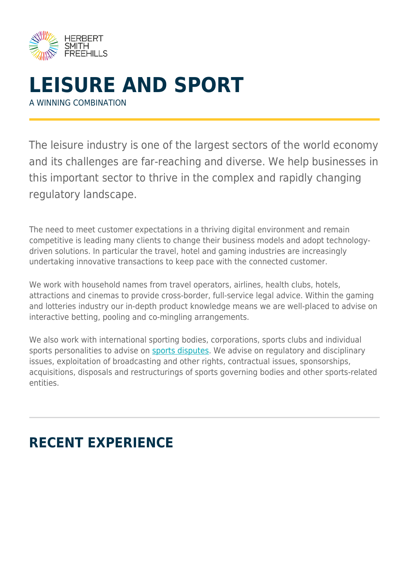

## **LEISURE AND SPORT** A WINNING COMBINATION

The leisure industry is one of the largest sectors of the world economy and its challenges are far-reaching and diverse. We help businesses in this important sector to thrive in the complex and rapidly changing regulatory landscape.

The need to meet customer expectations in a thriving digital environment and remain competitive is leading many clients to change their business models and adopt technologydriven solutions. In particular the travel, hotel and gaming industries are increasingly undertaking innovative transactions to keep pace with the connected customer.

We work with household names from travel operators, airlines, health clubs, hotels, attractions and cinemas to provide cross-border, full-service legal advice. Within the gaming and lotteries industry our in-depth product knowledge means we are well-placed to advise on interactive betting, pooling and co-mingling arrangements.

We also work with international sporting bodies, corporations, sports clubs and individual sports personalities to advise on [sports disputes](https://www.herbertsmithfreehills.com/our-expertise/sector/sports-disputes). We advise on regulatory and disciplinary issues, exploitation of broadcasting and other rights, contractual issues, sponsorships, acquisitions, disposals and restructurings of sports governing bodies and other sports-related entities.

# **RECENT EXPERIENCE**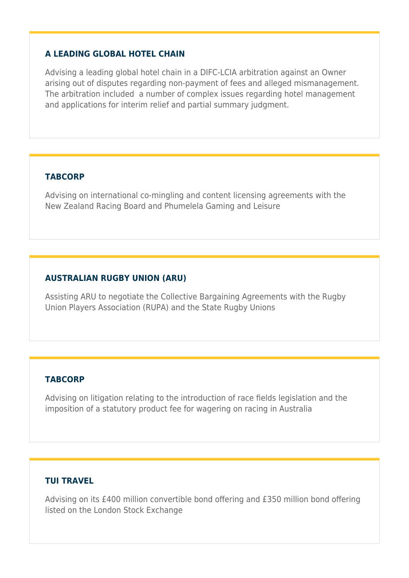#### **A LEADING GLOBAL HOTEL CHAIN**

Advising a leading global hotel chain in a DIFC-LCIA arbitration against an Owner arising out of disputes regarding non-payment of fees and alleged mismanagement. The arbitration included a number of complex issues regarding hotel management and applications for interim relief and partial summary judgment.

#### **TABCORP**

Advising on international co-mingling and content licensing agreements with the New Zealand Racing Board and Phumelela Gaming and Leisure

#### **AUSTRALIAN RUGBY UNION (ARU)**

Assisting ARU to negotiate the Collective Bargaining Agreements with the Rugby Union Players Association (RUPA) and the State Rugby Unions

#### **TABCORP**

Advising on litigation relating to the introduction of race fields legislation and the imposition of a statutory product fee for wagering on racing in Australia

#### **TUI TRAVEL**

Advising on its £400 million convertible bond offering and £350 million bond offering listed on the London Stock Exchange